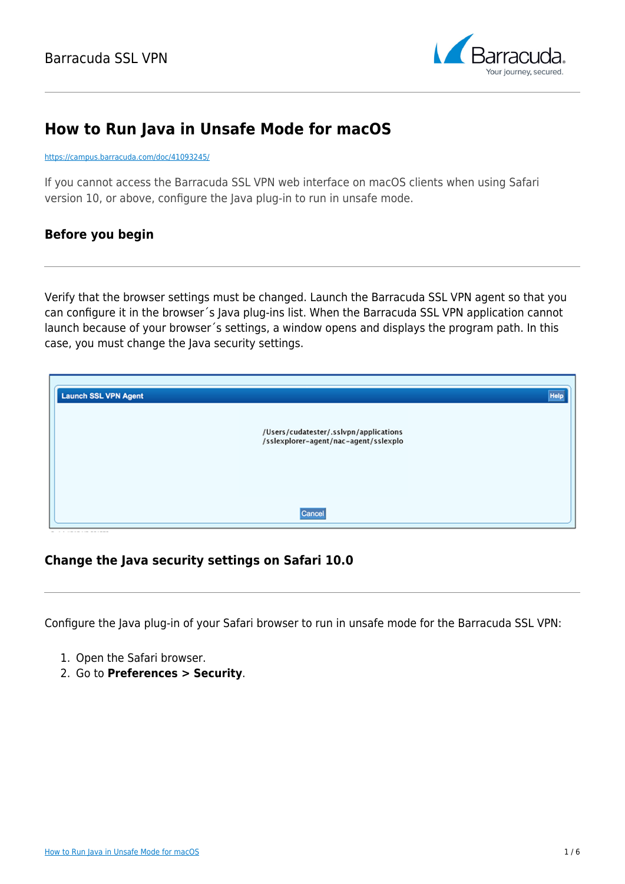

# **How to Run Java in Unsafe Mode for macOS**

#### <https://campus.barracuda.com/doc/41093245/>

If you cannot access the Barracuda SSL VPN web interface on macOS clients when using Safari version 10, or above, configure the Java plug-in to run in unsafe mode.

# **Before you begin**

Verify that the browser settings must be changed. Launch the Barracuda SSL VPN agent so that you can configure it in the browser´s Java plug-ins list. When the Barracuda SSL VPN application cannot launch because of your browser´s settings, a window opens and displays the program path. In this case, you must change the Java security settings.

| <b>Launch SSL VPN Agent</b> |                                                                                 | <b>Help</b> |
|-----------------------------|---------------------------------------------------------------------------------|-------------|
|                             | /Users/cudatester/.sslvpn/applications<br>/sslexplorer-agent/nac-agent/sslexplo |             |
|                             | Cancel                                                                          |             |

# **Change the Java security settings on Safari 10.0**

Configure the Java plug-in of your Safari browser to run in unsafe mode for the Barracuda SSL VPN:

- 1. Open the Safari browser.
- 2. Go to **Preferences > Security**.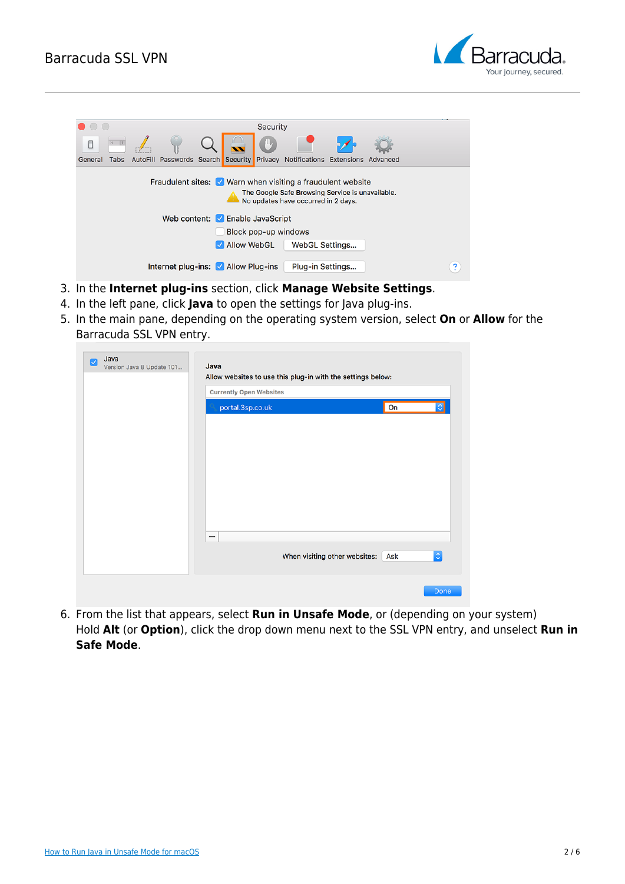

|         |                                                                                                                                                                                                               |  |                                    |  |               | Security |                                                                              |  |  |  |
|---------|---------------------------------------------------------------------------------------------------------------------------------------------------------------------------------------------------------------|--|------------------------------------|--|---------------|----------|------------------------------------------------------------------------------|--|--|--|
|         |                                                                                                                                                                                                               |  |                                    |  |               | 心        |                                                                              |  |  |  |
| General | <b>Tabs</b>                                                                                                                                                                                                   |  |                                    |  |               |          | AutoFill Passwords Search Security Privacy Notifications Extensions Advanced |  |  |  |
|         | Fraudulent sites: $\sqrt{\phantom{a}}$ Warn when visiting a fraudulent website<br>The Google Safe Browsing Service is unavailable.<br>No updates have occurred in 2 days.<br>Web content: M Enable JavaScript |  |                                    |  |               |          |                                                                              |  |  |  |
|         |                                                                                                                                                                                                               |  |                                    |  |               |          | Block pop-up windows                                                         |  |  |  |
|         |                                                                                                                                                                                                               |  |                                    |  | M Allow WebGL |          | WebGL Settings                                                               |  |  |  |
|         |                                                                                                                                                                                                               |  | Internet plug-ins: Mallow Plug-ins |  |               |          | Plug-in Settings                                                             |  |  |  |

- 3. In the **Internet plug-ins** section, click **Manage Website Settings**.
- 4. In the left pane, click **Java** to open the settings for Java plug-ins.
- 5. In the main pane, depending on the operating system version, select **On** or **Allow** for the Barracuda SSL VPN entry.

| Allow websites to use this plug-in with the settings below:<br><b>Currently Open Websites</b> |                                      |   |  |  |  |  |  |  |
|-----------------------------------------------------------------------------------------------|--------------------------------------|---|--|--|--|--|--|--|
| portal.3sp.co.uk                                                                              | On                                   |   |  |  |  |  |  |  |
|                                                                                               |                                      |   |  |  |  |  |  |  |
|                                                                                               |                                      |   |  |  |  |  |  |  |
|                                                                                               |                                      |   |  |  |  |  |  |  |
|                                                                                               |                                      |   |  |  |  |  |  |  |
|                                                                                               |                                      |   |  |  |  |  |  |  |
| $\overline{\phantom{m}}$                                                                      |                                      |   |  |  |  |  |  |  |
|                                                                                               | When visiting other websites:<br>Ask | ¢ |  |  |  |  |  |  |
|                                                                                               |                                      |   |  |  |  |  |  |  |

6. From the list that appears, select **Run in Unsafe Mode**, or (depending on your system) Hold **Alt** (or **Option**), click the drop down menu next to the SSL VPN entry, and unselect **Run in Safe Mode**.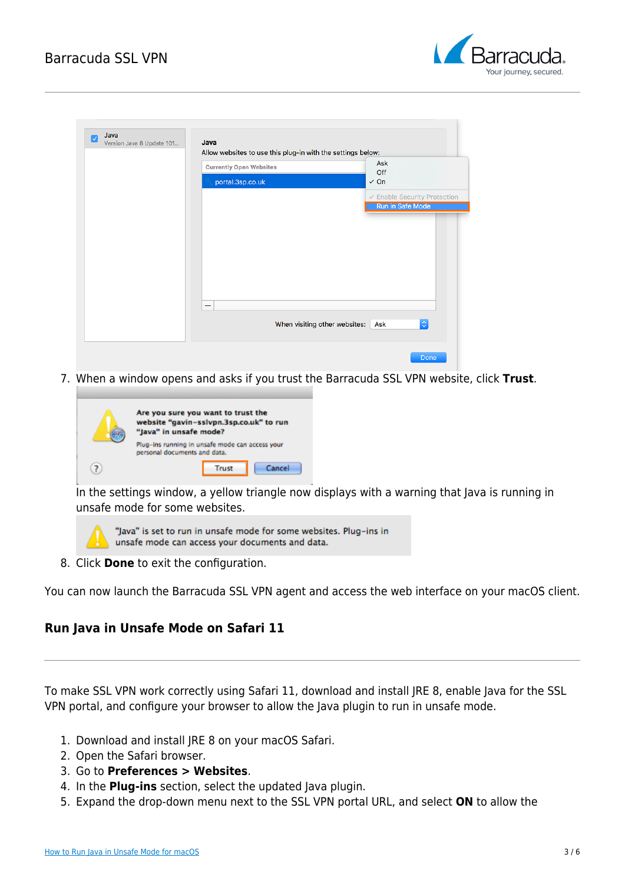

| <b>Currently Open Websites</b> | Ask                                                        |
|--------------------------------|------------------------------------------------------------|
| portal.3sp.co.uk               | Off<br>$\checkmark$ On                                     |
|                                | $\checkmark$ Enable Security Protection                    |
|                                | <b>Run in Safe Mode</b>                                    |
|                                |                                                            |
|                                |                                                            |
|                                |                                                            |
|                                |                                                            |
|                                |                                                            |
|                                |                                                            |
| $\qquad \qquad -$              |                                                            |
|                                |                                                            |
|                                | $ \diamond\rangle$<br>When visiting other websites:<br>Ask |

7. When a window opens and asks if you trust the Barracuda SSL VPN website, click **Trust**.

| Are you sure you want to trust the<br>website "gavin-sslvpn.3sp.co.uk" to run<br>"Java" in unsafe mode? |  |  |  |  |  |
|---------------------------------------------------------------------------------------------------------|--|--|--|--|--|
| Plug-ins running in unsafe mode can access your<br>personal documents and data.                         |  |  |  |  |  |
| Cancel<br>Trust                                                                                         |  |  |  |  |  |

In the settings window, a yellow triangle now displays with a warning that Java is running in unsafe mode for some websites.



"Java" is set to run in unsafe mode for some websites. Plug-ins in unsafe mode can access your documents and data.

8. Click **Done** to exit the configuration.

You can now launch the Barracuda SSL VPN agent and access the web interface on your macOS client.

# **Run Java in Unsafe Mode on Safari 11**

To make SSL VPN work correctly using Safari 11, download and install JRE 8, enable Java for the SSL VPN portal, and configure your browser to allow the Java plugin to run in unsafe mode.

- 1. Download and install JRE 8 on your macOS Safari.
- 2. Open the Safari browser.
- 3. Go to **Preferences > Websites**.
- 4. In the **Plug-ins** section, select the updated Java plugin.
- 5. Expand the drop-down menu next to the SSL VPN portal URL, and select **ON** to allow the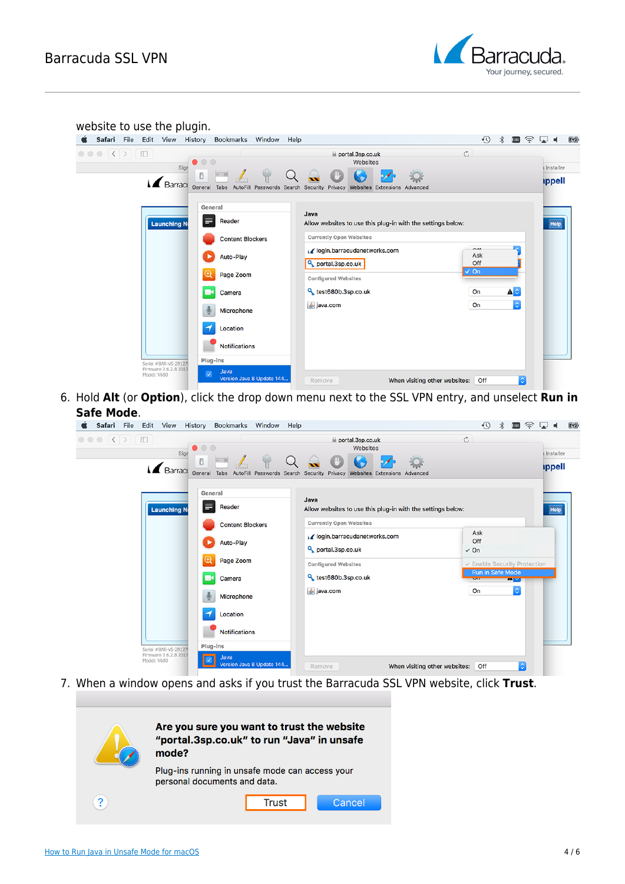

| $\circ \circ \circ \langle \langle \rangle \rangle \langle \Box \rangle$<br>$\mathfrak{C}$<br>portal.3sp.co.uk<br>$\bullet$ $\circ$ $\circ$<br>Websites<br>Sign<br>$\Box$<br><b>A</b> Barrace<br>General Tabs AutoFill Passwords Search Security<br>Privacy<br>Websites Extensions Advanced<br>General<br>Java<br>E<br>Reader<br><b>Launching No</b><br>Allow websites to use this plug-in with the settings below:<br>Help<br><b>Currently Open Websites</b><br><b>Content Blockers</b><br>$\alpha$<br>↓ / login.barracudanetworks.com<br>Ask<br>Auto-Play<br>Off<br>portal.3sp.co.uk<br>$\checkmark$ On<br>Œ<br>Page Zoom<br><b>Configured Websites</b><br>$\blacktriangle \circ$<br><sup>Q</sup> test680b.3sp.co.uk<br>On<br>Camera<br>$\ddot{\circ}$<br>多 java.com<br>On<br>Microphone<br>Location | website to use the plugin.<br>Ġ. | Safari File Edit View History Bookmarks Window Help |  | ⊕<br>$\ast$ | ▥ଛା◀<br>图                                |
|--------------------------------------------------------------------------------------------------------------------------------------------------------------------------------------------------------------------------------------------------------------------------------------------------------------------------------------------------------------------------------------------------------------------------------------------------------------------------------------------------------------------------------------------------------------------------------------------------------------------------------------------------------------------------------------------------------------------------------------------------------------------------------------------------------|----------------------------------|-----------------------------------------------------|--|-------------|------------------------------------------|
|                                                                                                                                                                                                                                                                                                                                                                                                                                                                                                                                                                                                                                                                                                                                                                                                        |                                  |                                                     |  |             | <b>Installer</b><br><i><b>ippell</b></i> |
| Plug-ins<br>Serial #BAR-VS-29127<br>Firmware 2.6.2.8 2017                                                                                                                                                                                                                                                                                                                                                                                                                                                                                                                                                                                                                                                                                                                                              |                                  | <b>Notifications</b>                                |  |             |                                          |

6. Hold **Alt** (or **Option**), click the drop down menu next to the SSL VPN entry, and unselect **Run in Safe Mode**.

| Safari File                                                            |             | Edit View             | History                        | Bookmarks Window Help   |                           |                                                                                                                              | $\Theta$<br>$\widehat{\mathcal{Z}}$<br>$\ast$<br><b>FILL</b> | 图<br>ा . । ।<br>स                 |
|------------------------------------------------------------------------|-------------|-----------------------|--------------------------------|-------------------------|---------------------------|------------------------------------------------------------------------------------------------------------------------------|--------------------------------------------------------------|-----------------------------------|
| $\circ \circ \circ \langle \langle \rangle \rangle \otimes \mathbb{D}$ |             | Sigr                  | $\circ$<br>$\bullet$<br>$\Box$ |                         |                           | portal.3sp.co.uk<br>Websites<br>Barract General Tabs AutoFill Passwords Search Security Privacy Websites Extensions Advanced | $\mathfrak{C}$                                               | Installer<br><i><b>ippell</b></i> |
|                                                                        |             | <b>Launching No</b>   | ⋿                              | General<br>Reader       |                           | Java<br>Allow websites to use this plug-in with the settings below:                                                          |                                                              | Help                              |
|                                                                        |             |                       |                                | <b>Content Blockers</b> |                           | <b>Currently Open Websites</b>                                                                                               |                                                              |                                   |
|                                                                        |             |                       |                                | Auto-Play               |                           | I login.barracudanetworks.com<br>portal.3sp.co.uk                                                                            | Ask<br>Off<br>$\checkmark$ On                                |                                   |
|                                                                        |             |                       | $^\circledR$                   | Page Zoom               |                           | <b>Configured Websites</b>                                                                                                   | $\checkmark$ Enable Security Protection                      |                                   |
|                                                                        |             |                       |                                | Camera                  |                           | <sup>Q</sup> test680b.3sp.co.uk                                                                                              | <b>Run in Safe Mode</b><br>$\mathbf{v}$<br><b>Barvi</b>      |                                   |
|                                                                        |             |                       |                                | Microphone              |                           | $\frac{1}{2}$ java.com                                                                                                       | $ \hat{\mathbf{c}} $<br>On                                   |                                   |
|                                                                        |             |                       |                                | Location                |                           |                                                                                                                              |                                                              |                                   |
|                                                                        |             |                       |                                | <b>Notifications</b>    |                           |                                                                                                                              |                                                              |                                   |
|                                                                        |             | Serial #BAR-VS-29127  |                                | Plug-ins                |                           |                                                                                                                              |                                                              |                                   |
|                                                                        | Model: V680 | Firmware 2.6.2.8 2017 |                                | Java                    | Version Java 8 Update 144 | When visiting other websites:<br>Remove                                                                                      | $\ddot{\circ}$<br>Off                                        |                                   |

7. When a window opens and asks if you trust the Barracuda SSL VPN website, click **Trust**.

|   | Are you sure you want to trust the website<br>"portal.3sp.co.uk" to run "Java" in unsafe<br>mode? |
|---|---------------------------------------------------------------------------------------------------|
|   | Plug-ins running in unsafe mode can access your<br>personal documents and data.                   |
| 2 | Cancel<br>Trust                                                                                   |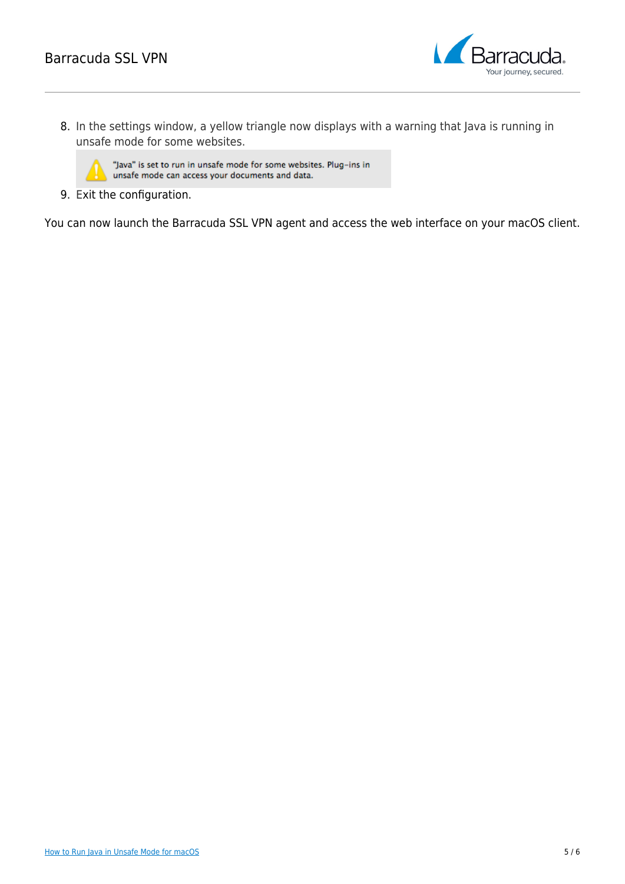

8. In the settings window, a yellow triangle now displays with a warning that Java is running in unsafe mode for some websites.

"Java" is set to run in unsafe mode for some websites. Plug-ins in unsafe mode can access your documents and data.

9. Exit the configuration.

You can now launch the Barracuda SSL VPN agent and access the web interface on your macOS client.